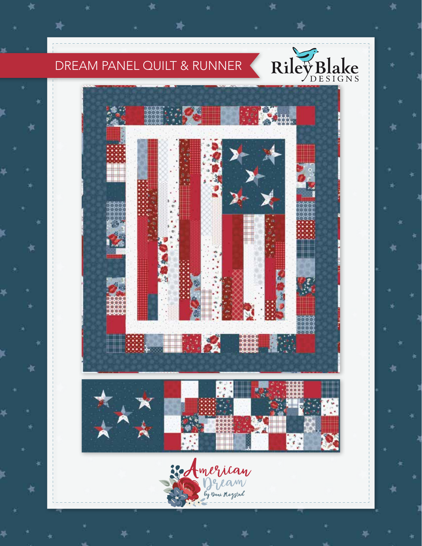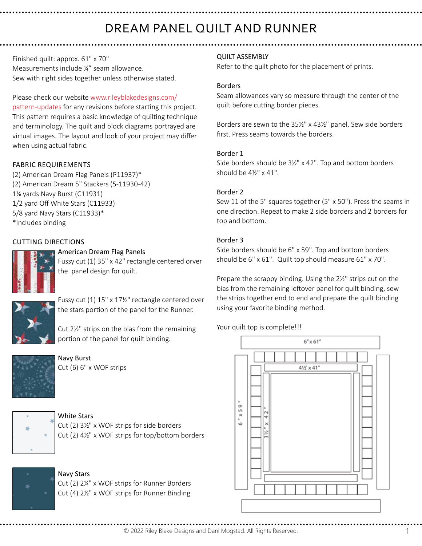# DREAM PANEL QUILT AND RUNNER

Finished quilt: approx. 61" x 70" Measurements include ¼" seam allowance. Sew with right sides together unless otherwise stated.

Please check our website www.rileyblakedesigns.com/ pattern-updates for any revisions before starting this project. This pattern requires a basic knowledge of quilting technique and terminology. The quilt and block diagrams portrayed are virtual images. The layout and look of your project may differ when using actual fabric.

## FABRIC REQUIREMENTS

(2) American Dream Flag Panels (P11937)\* (2) American Dream 5" Stackers (5-11930-42) 1% yards Navy Burst (C11931) 1/2 yard Off White Stars (C11933) 5/8 yard Navy Stars (C11933)\* \*Includes binding

## CUTTING DIRECTIONS

American Dream Flag Panels Fussy cut (1) 35" x 42" rectangle centered orver

the panel design for quilt.



Fussy cut (1) 15" x 17½" rectangle centered over the stars portion of the panel for the Runner.

Cut 2½" strips on the bias from the remaining portion of the panel for quilt binding.



Navy Burst Cut (6) 6" x WOF strips



White Stars

Cut  $(2)$  3 $\frac{1}{2}$ " x WOF strips for side borders Cut (2)  $4\frac{1}{2}$ " x WOF strips for top/bottom borders



## Navy Stars

Cut (2) 2¼" x WOF strips for Runner Borders Cut (4) 2½" x WOF strips for Runner Binding

## QUILT ASSEMBLY

Refer to the quilt photo for the placement of prints.

#### Borders

Seam allowances vary so measure through the center of the quilt before cutting border pieces.

Borders are sewn to the 35½" x 43½" panel. Sew side borders first. Press seams towards the borders.

### Border 1

Side borders should be 31/2" x 42". Top and bottom borders should be  $4\frac{1}{2}$ " x  $41$ ".

### Border 2

Sew 11 of the 5" squares together (5" x 50"). Press the seams in one direction. Repeat to make 2 side borders and 2 borders for top and bottom.

## Border 3

Side borders should be 6" x 59". Top and bottom borders should be 6" x 61". Quilt top should measure 61" x 70".

Prepare the scrappy binding. Using the 2½" strips cut on the bias from the remaining leftover panel for quilt binding, sew the strips together end to end and prepare the quilt binding using your favorite binding method.

Your quilt top is complete!!!



© 2022 Riley Blake Designs and Dani Mogstad. All Rights Reserved. 1